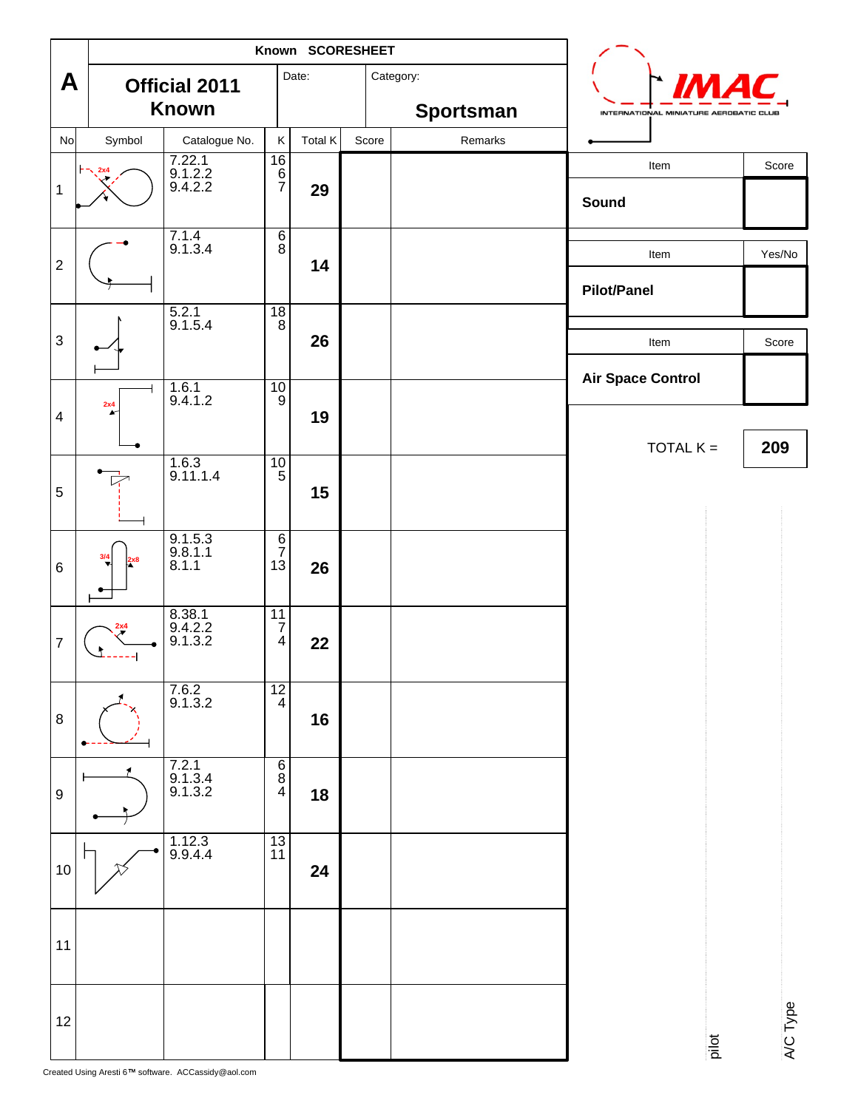|                                                                                                                                                                                                                                                                                                                                         |                                                                               | Known SCORESHEET                                                |                     |                  | $\mathcal{L}$                                                                                                                                  |        |
|-----------------------------------------------------------------------------------------------------------------------------------------------------------------------------------------------------------------------------------------------------------------------------------------------------------------------------------------|-------------------------------------------------------------------------------|-----------------------------------------------------------------|---------------------|------------------|------------------------------------------------------------------------------------------------------------------------------------------------|--------|
| $\vert A \vert$                                                                                                                                                                                                                                                                                                                         | <b>Official 2011</b>                                                          | Date:                                                           |                     | Category:        | $\begin{array}{c} \begin{array}{c} \hline \end{array} \end{array}$ $\begin{array}{c} \hline \end{array}$ $\begin{array}{c} \hline \end{array}$ |        |
|                                                                                                                                                                                                                                                                                                                                         | Known                                                                         |                                                                 |                     | <b>Sportsman</b> | INTERNATIONAL MINIATURE AEROBATIC CLUB                                                                                                         |        |
| $\frac{N_{\text{O}}}{N_{\text{O}}}$<br>Symbol                                                                                                                                                                                                                                                                                           | Catalogue No.                                                                 |                                                                 | $K$ Total $K$ Score | Remarks          |                                                                                                                                                |        |
|                                                                                                                                                                                                                                                                                                                                         | $\begin{array}{r} 7.22.1 \\ 9.1.2.2 \\ 9.4.2.2 \end{array}$                   | 16<br>်ရိ                                                       |                     |                  | Item                                                                                                                                           | Score  |
| $\begin{picture}(120,17)(-2) \put(10,17){\line(1,0){150}} \put(10,17){\line(1,0){150}} \put(10,17){\line(1,0){150}} \put(10,17){\line(1,0){150}} \put(10,17){\line(1,0){150}} \put(10,17){\line(1,0){150}} \put(10,17){\line(1,0){150}} \put(10,17){\line(1,0){150}} \put(10,17){\line(1,0){150}} \put(10,17){\line(1,0){150}} \put(10$ |                                                                               | $\overline{7}$                                                  | 29                  |                  | Sound                                                                                                                                          |        |
| ——                                                                                                                                                                                                                                                                                                                                      |                                                                               |                                                                 |                     |                  |                                                                                                                                                |        |
| $\overline{\phantom{0}}$                                                                                                                                                                                                                                                                                                                | $\frac{7.1.4}{9.1.3.4}$                                                       | $\overline{\phantom{a}}$                                        |                     |                  | Item                                                                                                                                           | Yes/No |
|                                                                                                                                                                                                                                                                                                                                         |                                                                               |                                                                 | 14                  |                  |                                                                                                                                                |        |
| ——                                                                                                                                                                                                                                                                                                                                      |                                                                               | 1.RI                                                            |                     |                  | <b>Pilot/Panel</b>                                                                                                                             |        |
|                                                                                                                                                                                                                                                                                                                                         | $\frac{5.2.1}{9.1.5.4}$                                                       |                                                                 | 26                  |                  |                                                                                                                                                |        |
| ▗╾╱┶                                                                                                                                                                                                                                                                                                                                    |                                                                               |                                                                 |                     |                  | Item                                                                                                                                           | Score  |
| لىسى<br>_____                                                                                                                                                                                                                                                                                                                           |                                                                               | 10 <sup>1</sup>                                                 |                     |                  | <b>Air Space Control</b>                                                                                                                       |        |
|                                                                                                                                                                                                                                                                                                                                         | $\begin{array}{ c c }\n\hline\n\hline\n\end{array}$ 1.6.1<br>9.4.1.2          |                                                                 | 19                  |                  |                                                                                                                                                |        |
| $\overline{\phantom{a}}$                                                                                                                                                                                                                                                                                                                |                                                                               |                                                                 |                     |                  | TOTAL $K =$ 209                                                                                                                                |        |
| $\overline{\phantom{a}}$                                                                                                                                                                                                                                                                                                                | $\frac{1.6.3}{9.11.1.4}$                                                      | $\frac{10}{5}$                                                  |                     |                  |                                                                                                                                                |        |
|                                                                                                                                                                                                                                                                                                                                         |                                                                               |                                                                 | 15                  |                  |                                                                                                                                                |        |
| $\overline{\phantom{a}}$<br>——                                                                                                                                                                                                                                                                                                          |                                                                               |                                                                 |                     |                  |                                                                                                                                                |        |
| $\cap$                                                                                                                                                                                                                                                                                                                                  | $\begin{array}{ l } \hline 9.1.5.3 \\ 9.8.1.1 \\ 8.1.1 \\ \hline \end{array}$ | - 6 I<br>$\overline{7}$                                         |                     |                  |                                                                                                                                                |        |
| $\frac{3/4}{2}$ 2x8<br>6                                                                                                                                                                                                                                                                                                                |                                                                               | $\begin{vmatrix} 13 \end{vmatrix}$ 26                           |                     |                  |                                                                                                                                                |        |
| $\begin{array}{ccc} & & \bullet & \end{array}$<br>—— <del>——</del>                                                                                                                                                                                                                                                                      |                                                                               |                                                                 |                     |                  |                                                                                                                                                |        |
| $\begin{array}{ c c } \hline & & 8.38.1 \\ \hline & & 9.4.2.2 \\ \hline & & 9.1.3.2 \\ \hline & & & \end{array}$                                                                                                                                                                                                                        |                                                                               | $\begin{array}{ c c c }\n\hline\n11 & 7 \\ \hline\n\end{array}$ |                     |                  |                                                                                                                                                |        |
|                                                                                                                                                                                                                                                                                                                                         |                                                                               | $\begin{array}{c c} 4 & 22 \end{array}$                         |                     |                  |                                                                                                                                                |        |
| ——                                                                                                                                                                                                                                                                                                                                      |                                                                               | $\overline{121}$                                                |                     |                  |                                                                                                                                                |        |
| $\overline{1}$<br>$\times$ $\sim$ $\sim$<br>8                                                                                                                                                                                                                                                                                           | $\frac{7.6.2}{9.1.3.2}$                                                       |                                                                 |                     |                  |                                                                                                                                                |        |
| $\left  \bullet \right $                                                                                                                                                                                                                                                                                                                |                                                                               |                                                                 | 16                  |                  |                                                                                                                                                |        |
| ——<br>$\overline{1}$                                                                                                                                                                                                                                                                                                                    |                                                                               | $\overline{\phantom{a}}$                                        |                     |                  |                                                                                                                                                |        |
| ۱q.                                                                                                                                                                                                                                                                                                                                     | $\begin{array}{r} 7.2.1 \\ 9.1.3.4 \\ 9.1.3.2 \end{array}$                    | 4                                                               | 18                  |                  |                                                                                                                                                |        |
| $\overline{1}$                                                                                                                                                                                                                                                                                                                          |                                                                               |                                                                 |                     |                  |                                                                                                                                                |        |
|                                                                                                                                                                                                                                                                                                                                         | $\overline{) \bullet \atop 9.9.4.4}$                                          | $\frac{1}{13}$<br> 11                                           |                     |                  |                                                                                                                                                |        |
| $\begin{array}{c}  10  \end{array}$<br>$\gamma$                                                                                                                                                                                                                                                                                         |                                                                               |                                                                 | 24                  |                  |                                                                                                                                                |        |
|                                                                                                                                                                                                                                                                                                                                         |                                                                               |                                                                 |                     |                  |                                                                                                                                                |        |
|                                                                                                                                                                                                                                                                                                                                         |                                                                               |                                                                 |                     |                  |                                                                                                                                                |        |
| 11                                                                                                                                                                                                                                                                                                                                      |                                                                               |                                                                 |                     |                  |                                                                                                                                                |        |
| ___                                                                                                                                                                                                                                                                                                                                     |                                                                               |                                                                 |                     |                  |                                                                                                                                                |        |
|                                                                                                                                                                                                                                                                                                                                         |                                                                               |                                                                 |                     |                  |                                                                                                                                                |        |
| 12                                                                                                                                                                                                                                                                                                                                      |                                                                               |                                                                 |                     |                  |                                                                                                                                                |        |
|                                                                                                                                                                                                                                                                                                                                         |                                                                               |                                                                 |                     |                  |                                                                                                                                                |        |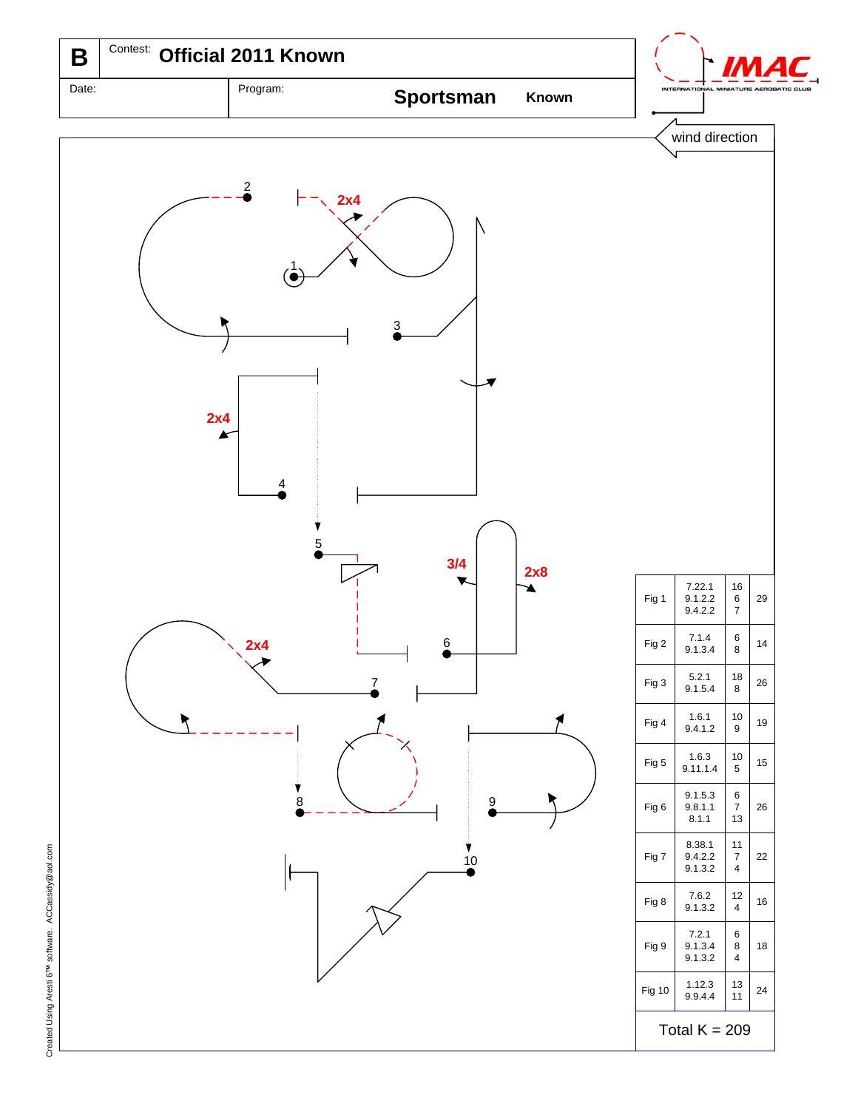